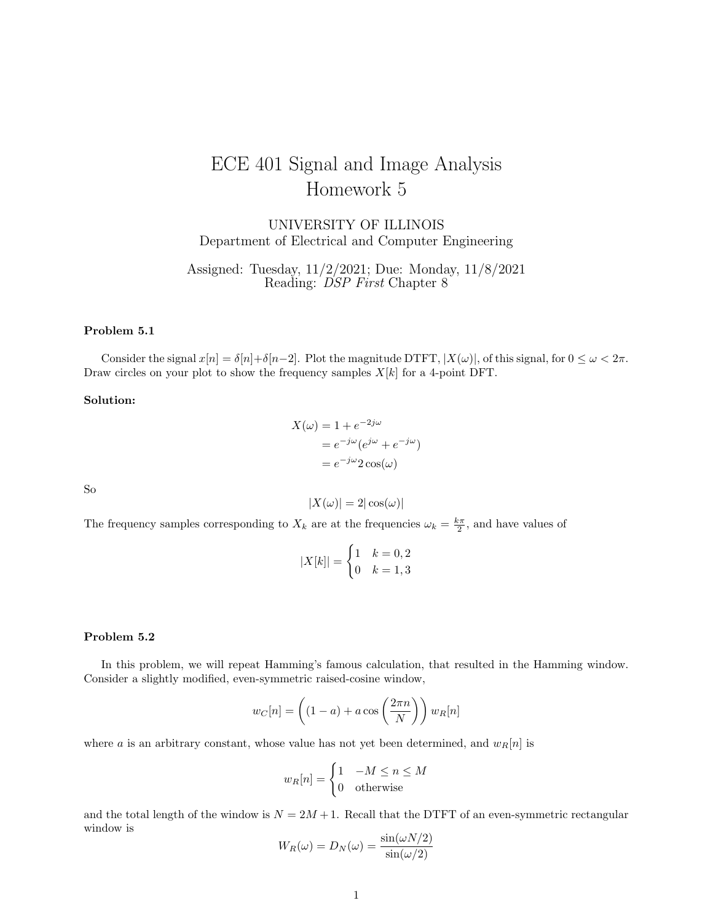# ECE 401 Signal and Image Analysis Homework 5

UNIVERSITY OF ILLINOIS Department of Electrical and Computer Engineering

Assigned: Tuesday, 11/2/2021; Due: Monday, 11/8/2021 Reading: *DSP First* Chapter 8

## Problem 5.1

Consider the signal  $x[n] = \delta[n] + \delta[n-2]$ . Plot the magnitude DTFT,  $|X(\omega)|$ , of this signal, for  $0 \leq \omega < 2\pi$ . Draw circles on your plot to show the frequency samples  $X[k]$  for a 4-point DFT.

#### Solution:

$$
X(\omega) = 1 + e^{-2j\omega}
$$
  
=  $e^{-j\omega} (e^{j\omega} + e^{-j\omega})$   
=  $e^{-j\omega} 2 \cos(\omega)$ 

So

$$
|X(\omega)| = 2|\cos(\omega)|
$$

The frequency samples corresponding to  $X_k$  are at the frequencies  $\omega_k = \frac{k\pi}{2}$ , and have values of

$$
|X[k]| = \begin{cases} 1 & k = 0, 2 \\ 0 & k = 1, 3 \end{cases}
$$

# Problem 5.2

In this problem, we will repeat Hamming's famous calculation, that resulted in the Hamming window. Consider a slightly modified, even-symmetric raised-cosine window,

$$
w_C[n] = \left( (1 - a) + a \cos\left(\frac{2\pi n}{N}\right) \right) w_R[n]
$$

where a is an arbitrary constant, whose value has not yet been determined, and  $w_R[n]$  is

$$
w_R[n] = \begin{cases} 1 & -M \le n \le M \\ 0 & \text{otherwise} \end{cases}
$$

and the total length of the window is  $N = 2M + 1$ . Recall that the DTFT of an even-symmetric rectangular window is

$$
W_R(\omega) = D_N(\omega) = \frac{\sin(\omega N/2)}{\sin(\omega/2)}
$$